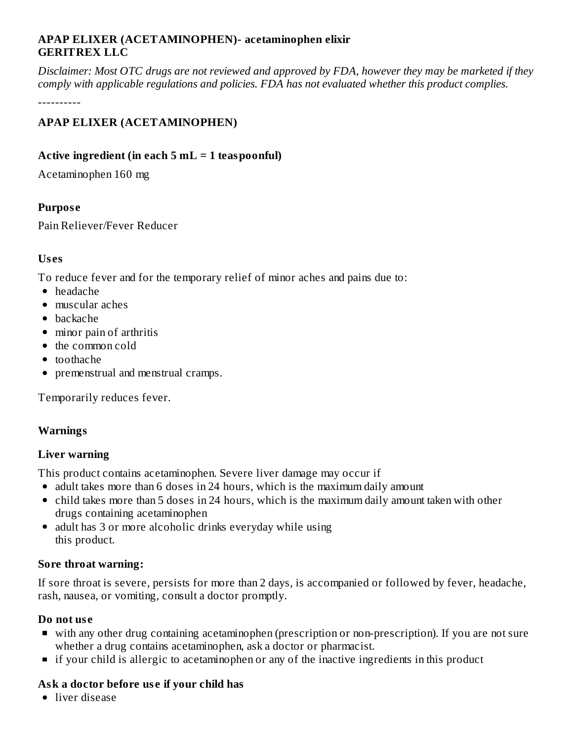### **APAP ELIXER (ACETAMINOPHEN)- acetaminophen elixir GERITREX LLC**

Disclaimer: Most OTC drugs are not reviewed and approved by FDA, however they may be marketed if they *comply with applicable regulations and policies. FDA has not evaluated whether this product complies.*

----------

# **APAP ELIXER (ACETAMINOPHEN)**

### **Active ingredient (in each 5 mL = 1 teaspoonful)**

Acetaminophen 160 mg

### **Purpos e**

Pain Reliever/Fever Reducer

### **Us es**

To reduce fever and for the temporary relief of minor aches and pains due to:

- headache
- muscular aches
- backache
- minor pain of arthritis
- the common cold
- toothache
- premenstrual and menstrual cramps.

Temporarily reduces fever.

### **Warnings**

### **Liver warning**

This product contains acetaminophen. Severe liver damage may occur if

- adult takes more than 6 doses in 24 hours, which is the maximum daily amount
- child takes more than 5 doses in 24 hours, which is the maximum daily amount taken with other drugs containing acetaminophen
- adult has 3 or more alcoholic drinks everyday while using this product.

### **Sore throat warning:**

If sore throat is severe, persists for more than 2 days, is accompanied or followed by fever, headache, rash, nausea, or vomiting, consult a doctor promptly.

### **Do not us e**

- with any other drug containing acetaminophen (prescription or non-prescription). If you are not sure whether a drug contains acetaminophen, ask a doctor or pharmacist.
- **If your child is allergic to acetaminophen or any of the inactive ingredients in this product**

### **Ask a doctor before us e if your child has**

• liver disease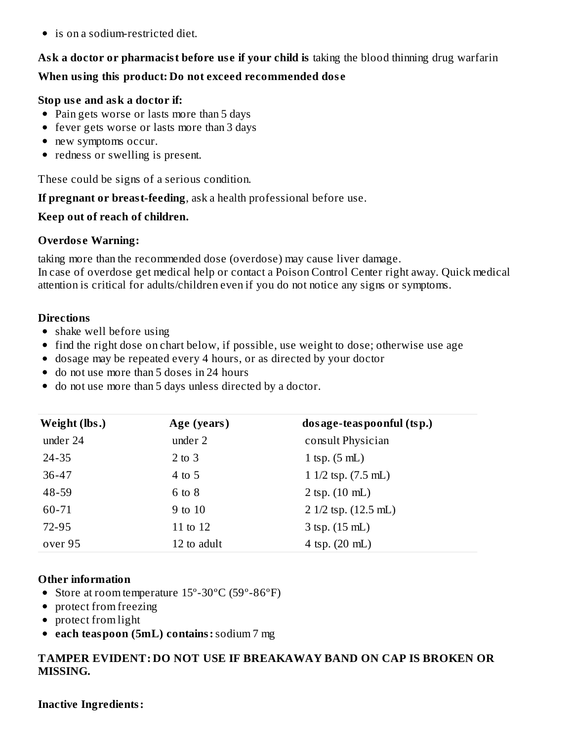is on a sodium-restricted diet.

# **Ask a doctor or pharmacist before us e if your child is** taking the blood thinning drug warfarin

# **When using this product: Do not exceed recommended dos e**

### **Stop us e and ask a doctor if:**

- Pain gets worse or lasts more than 5 days
- fever gets worse or lasts more than 3 days
- new symptoms occur.
- redness or swelling is present.

These could be signs of a serious condition.

**If pregnant or breast-feeding**, ask a health professional before use.

### **Keep out of reach of children.**

# **Overdose Warning:**

taking more than the recommended dose (overdose) may cause liver damage.

In case of overdose get medical help or contact a Poison Control Center right away. Quick medical attention is critical for adults/children even if you do not notice any signs or symptoms.

# **Directions**

- shake well before using
- find the right dose on chart below, if possible, use weight to dose; otherwise use age
- dosage may be repeated every 4 hours, or as directed by your doctor
- do not use more than 5 doses in 24 hours
- do not use more than 5 days unless directed by a doctor.

| Weight (lbs.) | Age (years) | dos age-teas poonful (tsp.)    |
|---------------|-------------|--------------------------------|
| under 24      | under 2     | consult Physician              |
| $24 - 35$     | $2$ to $3$  | 1 tsp. $(5 \text{ mL})$        |
| $36 - 47$     | $4$ to 5    | $11/2$ tsp. $(7.5$ mL)         |
| 48-59         | $6$ to $8$  | $2$ tsp. $(10 \text{ mL})$     |
| 60-71         | 9 to 10     | $2 \frac{1}{2}$ tsp. (12.5 mL) |
| 72-95         | 11 to 12    | $3 \text{ (sp. (15 mL)}$       |
| over 95       | 12 to adult | 4 tsp. $(20 \text{ mL})$       |

### **Other information**

- Store at room temperature 15°-30°C (59°-86°F)
- protect from freezing
- protect from light
- **each teaspoon (5mL) contains:**sodium 7 mg

# **TAMPER EVIDENT: DO NOT USE IF BREAKAWAY BAND ON CAP IS BROKEN OR MISSING.**

**Inactive Ingredients:**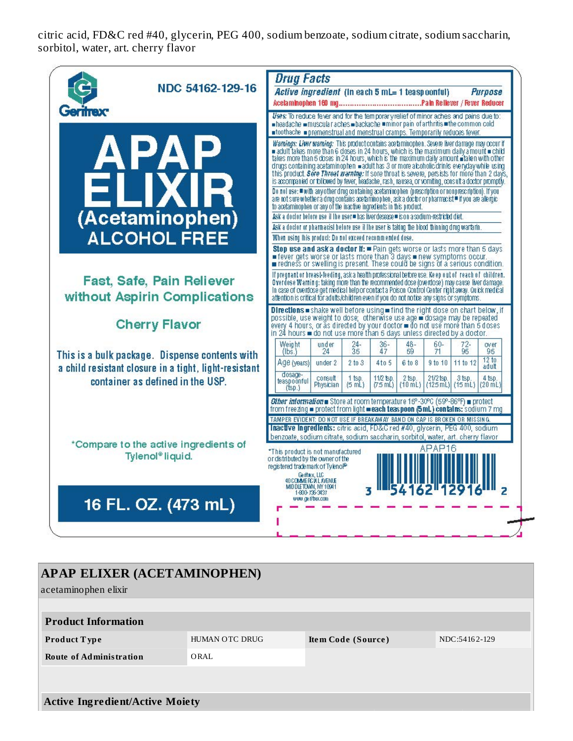citric acid, FD&C red #40, glycerin, PEG 400, sodium benzoate, sodium citrate, sodium saccharin, sorbitol, water, art. cherry flavor



| <b>APAP ELIXER (ACETAMINOPHEN)</b>     |                       |                    |               |  |  |
|----------------------------------------|-----------------------|--------------------|---------------|--|--|
| acetaminophen elixir                   |                       |                    |               |  |  |
|                                        |                       |                    |               |  |  |
| <b>Product Information</b>             |                       |                    |               |  |  |
| <b>Product Type</b>                    | <b>HUMAN OTC DRUG</b> | Item Code (Source) | NDC:54162-129 |  |  |
| <b>Route of Administration</b>         | ORAL                  |                    |               |  |  |
|                                        |                       |                    |               |  |  |
|                                        |                       |                    |               |  |  |
| <b>Active Ingredient/Active Moiety</b> |                       |                    |               |  |  |